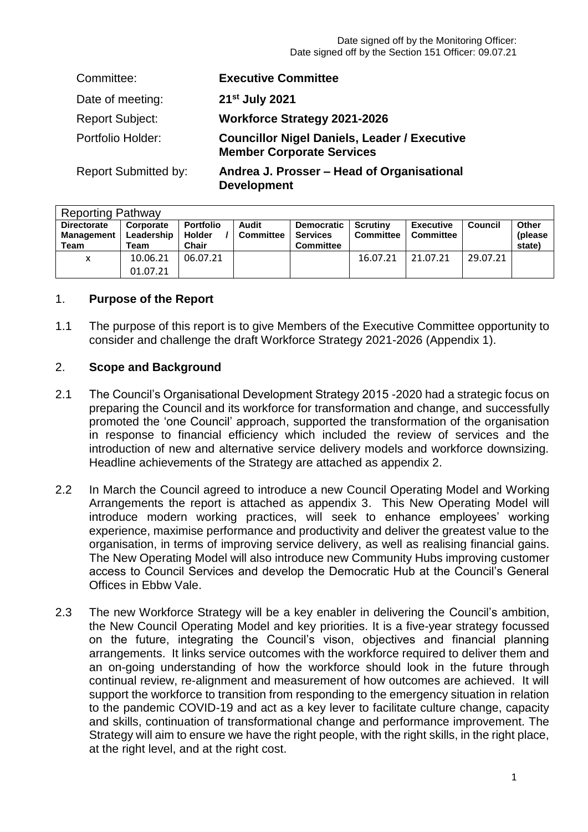Date signed off by the Monitoring Officer: Date signed off by the Section 151 Officer: 09.07.21

| Committee:                  | <b>Executive Committee</b>                                                              |
|-----------------------------|-----------------------------------------------------------------------------------------|
| Date of meeting:            | 21 <sup>st</sup> July 2021                                                              |
| <b>Report Subject:</b>      | <b>Workforce Strategy 2021-2026</b>                                                     |
| Portfolio Holder:           | <b>Councillor Nigel Daniels, Leader / Executive</b><br><b>Member Corporate Services</b> |
| <b>Report Submitted by:</b> | Andrea J. Prosser - Head of Organisational<br><b>Development</b>                        |

| <b>Reporting Pathway</b>                   |                                 |                                            |                           |                                                   |                              |                                      |                |                             |  |  |
|--------------------------------------------|---------------------------------|--------------------------------------------|---------------------------|---------------------------------------------------|------------------------------|--------------------------------------|----------------|-----------------------------|--|--|
| <b>Directorate</b><br>Management  <br>Team | Corporate<br>Leadership<br>Team | <b>Portfolio</b><br><b>Holder</b><br>Chair | Audit<br><b>Committee</b> | Democratic<br><b>Services</b><br><b>Committee</b> | Scrutiny<br><b>Committee</b> | <b>Executive</b><br><b>Committee</b> | <b>Council</b> | Other<br>(please)<br>state) |  |  |
| x                                          | 10.06.21<br>01.07.21            | 06.07.21                                   |                           |                                                   | 16.07.21                     | 21.07.21                             | 29.07.21       |                             |  |  |

# 1. **Purpose of the Report**

1.1 The purpose of this report is to give Members of the Executive Committee opportunity to consider and challenge the draft Workforce Strategy 2021-2026 (Appendix 1).

### 2. **Scope and Background**

- 2.1 The Council's Organisational Development Strategy 2015 -2020 had a strategic focus on preparing the Council and its workforce for transformation and change, and successfully promoted the 'one Council' approach, supported the transformation of the organisation in response to financial efficiency which included the review of services and the introduction of new and alternative service delivery models and workforce downsizing. Headline achievements of the Strategy are attached as appendix 2.
- 2.2 In March the Council agreed to introduce a new Council Operating Model and Working Arrangements the report is attached as appendix 3. This New Operating Model will introduce modern working practices, will seek to enhance employees' working experience, maximise performance and productivity and deliver the greatest value to the organisation, in terms of improving service delivery, as well as realising financial gains. The New Operating Model will also introduce new Community Hubs improving customer access to Council Services and develop the Democratic Hub at the Council's General Offices in Ebbw Vale.
- 2.3 The new Workforce Strategy will be a key enabler in delivering the Council's ambition, the New Council Operating Model and key priorities. It is a five-year strategy focussed on the future, integrating the Council's vison, objectives and financial planning arrangements. It links service outcomes with the workforce required to deliver them and an on-going understanding of how the workforce should look in the future through continual review, re-alignment and measurement of how outcomes are achieved. It will support the workforce to transition from responding to the emergency situation in relation to the pandemic COVID-19 and act as a key lever to facilitate culture change, capacity and skills, continuation of transformational change and performance improvement. The Strategy will aim to ensure we have the right people, with the right skills, in the right place, at the right level, and at the right cost.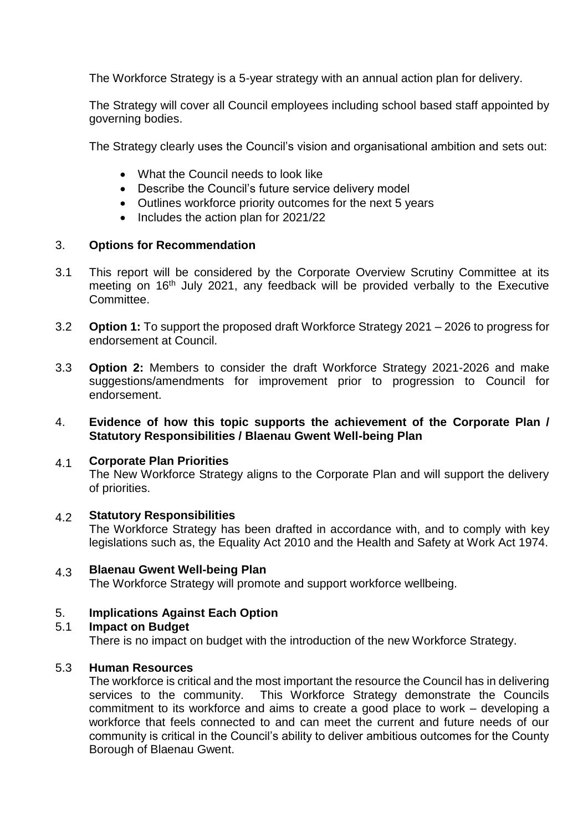The Workforce Strategy is a 5-year strategy with an annual action plan for delivery.

The Strategy will cover all Council employees including school based staff appointed by governing bodies.

The Strategy clearly uses the Council's vision and organisational ambition and sets out:

- What the Council needs to look like
- Describe the Council's future service delivery model
- Outlines workforce priority outcomes for the next 5 years
- $\bullet$  Includes the action plan for 2021/22

# 3. **Options for Recommendation**

- 3.1 This report will be considered by the Corporate Overview Scrutiny Committee at its meeting on 16<sup>th</sup> July 2021, any feedback will be provided verbally to the Executive Committee.
- 3.2 **Option 1:** To support the proposed draft Workforce Strategy 2021 – 2026 to progress for endorsement at Council.
- 3.3 **Option 2:** Members to consider the draft Workforce Strategy 2021-2026 and make suggestions/amendments for improvement prior to progression to Council for endorsement.

#### 4. **Evidence of how this topic supports the achievement of the Corporate Plan / Statutory Responsibilities / Blaenau Gwent Well-being Plan**

#### 4.1 **Corporate Plan Priorities**

The New Workforce Strategy aligns to the Corporate Plan and will support the delivery of priorities.

#### 4.2 **Statutory Responsibilities**

The Workforce Strategy has been drafted in accordance with, and to comply with key legislations such as, the Equality Act 2010 and the Health and Safety at Work Act 1974.

#### 4.3 **Blaenau Gwent Well-being Plan** The Workforce Strategy will promote and support workforce wellbeing.

# 5. **Implications Against Each Option**

# 5.1 **Impact on Budget**

There is no impact on budget with the introduction of the new Workforce Strategy.

#### 5.3 **Human Resources**

The workforce is critical and the most important the resource the Council has in delivering services to the community. This Workforce Strategy demonstrate the Councils commitment to its workforce and aims to create a good place to work – developing a workforce that feels connected to and can meet the current and future needs of our community is critical in the Council's ability to deliver ambitious outcomes for the County Borough of Blaenau Gwent.